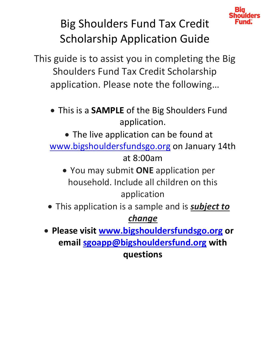

# Big Shoulders Fund Tax Credit Scholarship Application Guide

This guide is to assist you in completing the Big Shoulders Fund Tax Credit Scholarship application. Please note the following…

 This is a **SAMPLE** of the Big Shoulders Fund application.

• The live application can be found at [www.bigshouldersfundsgo.org](http://www.bigshouldersfundsgo.org/) on January 14th at 8:00am

 You may submit **ONE** application per household. Include all children on this application

 This application is a sample and is *subject to change*

 **Please visit [www.bigshouldersfundsgo.org](http://www.bigshouldersfundsgo.org/) or email [sgoapp@bigshouldersfund.org](mailto:sgoapp@bigshouldersfund.org) with questions**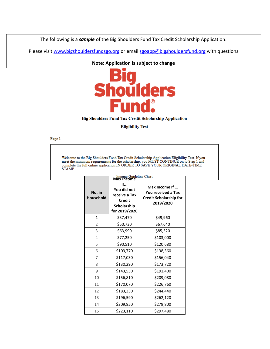The following is a *sample* of the Big Shoulders Fund Tax Credit Scholarship Application.

Please visit [www.bigshouldersfundsgo.org](http://www.bigshouldersfundsgo.org/) or email [sgoapp@bigshouldersfund.org](mailto:sgoapp@bigshouldersfund.org) with questions

**Note: Application is subject to change**

**oulders Ind** 

## Big Shoulders Fund Tax Credit Scholarship Application

### **Eligibility Test**

Page 1

Welcome to the Big Shoulders Fund Tax Credit Scholarship Application Eligibility Test. If you meet the minimum requirements for the scholarship, you MUST CONTINUE on to Step 1 and complete the full online application IN OR

| No. in<br><b>Household</b> | <b>Income Guideline Chart</b><br>Max Income<br>If<br>You did not<br>receive a Tax<br><b>Credit</b><br>Scholarship<br>for 2019/2020 | Max Income If<br>You received a Tax<br><b>Credit Scholarship for</b><br>2019/2020 |
|----------------------------|------------------------------------------------------------------------------------------------------------------------------------|-----------------------------------------------------------------------------------|
| $\mathbf{1}$               | \$37,470                                                                                                                           | \$49,960                                                                          |
| 2                          | \$50,730                                                                                                                           | \$67,640                                                                          |
| 3                          | \$63,990                                                                                                                           | \$85,320                                                                          |
| 4                          | \$77,250                                                                                                                           | \$103,000                                                                         |
| 5                          | \$90,510                                                                                                                           | \$120,680                                                                         |
| 6                          | \$103,770                                                                                                                          | \$138,360                                                                         |
| 7                          | \$117,030                                                                                                                          | \$156,040                                                                         |
| 8                          | \$130,290                                                                                                                          | \$173,720                                                                         |
| 9                          | \$143,550                                                                                                                          | \$191,400                                                                         |
| 10                         | \$156,810                                                                                                                          | \$209,080                                                                         |
| 11                         | \$170,070                                                                                                                          | \$226,760                                                                         |
| 12                         | \$183,330                                                                                                                          | \$244,440                                                                         |
| 13                         | \$196,590                                                                                                                          | \$262,120                                                                         |
| 14                         | \$209,850                                                                                                                          | \$279,800                                                                         |
| 15                         | \$223,110                                                                                                                          | \$297,480                                                                         |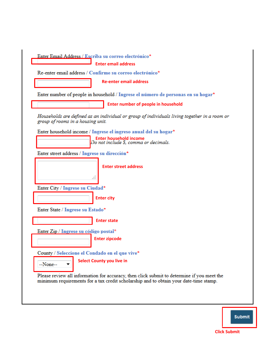|          | <b>Enter email address</b>                                                                                                                                                          |
|----------|-------------------------------------------------------------------------------------------------------------------------------------------------------------------------------------|
|          | Re-enter email address / Confirme su correo electrónico*                                                                                                                            |
|          | <b>Re-enter email address</b>                                                                                                                                                       |
|          | Enter number of people in household / Ingrese el número de personas en su hogar*                                                                                                    |
|          | <b>Enter number of people in household</b>                                                                                                                                          |
|          | Households are defined as an individual or group of individuals living together in a room or<br>group of rooms in a housing unit.                                                   |
|          | Enter household income / Ingrese el ingreso anual del su hogar*                                                                                                                     |
|          | <b>Enter household income</b><br>Do not include \$, comma or decimals.                                                                                                              |
|          | Enter street address / Ingrese su dirección*                                                                                                                                        |
|          | <b>Enter street address</b>                                                                                                                                                         |
|          | 444<br>Enter City / Ingrese su Ciudad*                                                                                                                                              |
|          | <b>Enter city</b>                                                                                                                                                                   |
|          | Enter State / Ingrese su Estado*                                                                                                                                                    |
|          | <b>Enter state</b>                                                                                                                                                                  |
|          | Enter Zip / Ingrese su código postal*                                                                                                                                               |
|          | <b>Enter zipcode</b>                                                                                                                                                                |
|          | County / Seleccione el Condado en el que vive*                                                                                                                                      |
| --None-- | <b>Select County you live in</b><br>▼                                                                                                                                               |
|          | Please review all information for accuracy, then click submit to determine if you meet the<br>minimum requirements for a tax credit scholarship and to obtain your date-time stamp. |

## Submit

**Click Submit**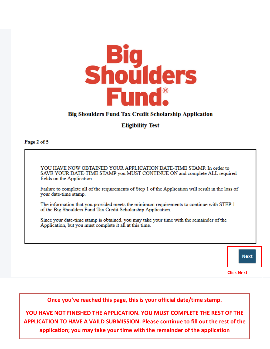

### **Big Shoulders Fund Tax Credit Scholarship Application**

### **Eligibility Test**

Page 2 of 5

YOU HAVE NOW OBTAINED YOUR APPLICATION DATE-TIME STAMP. In order to SAVE YOUR DATE-TIME STAMP you MUST CONTINUE ON and complete ALL required fields on the Application.

Failure to complete all of the requirements of Step 1 of the Application will result in the loss of your date-time stamp.

The information that you provided meets the minimum requirements to continue with STEP 1 of the Big Shoulders Fund Tax Credit Scholarship Application.

Since your date-time stamp is obtained, you may take your time with the remainder of the Application, but you must complete it all at this time.



Once you've reached this page, this is your official date/time stamp.

YOU HAVE NOT FINISHED THE APPLICATION. YOU MUST COMPLETE THE REST OF THE APPLICATION TO HAVE A VAILD SUBMISSION. Please continue to fill out the rest of the application; you may take your time with the remainder of the application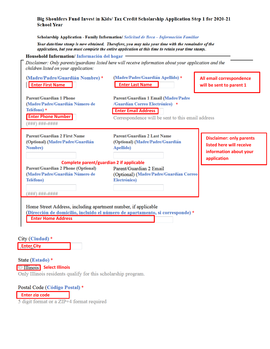### Big Shoulders Fund Invest in Kids/ Tax Credit Scholarship Application Step 1 for 2020-21 **School Year**

### Scholarship Application - Family Information/ Solicitud de Beca - Información Familiar

Your date/time stamp is now obtained. Therefore, you may take your time with the remainder of the application, but you must complete the entire application at this time to retain your time stamp.

### Household Information/Información del hogar

Disclaimer: Only parents/guardians listed here will receive information about your application and the children listed on your application:

| (Madre/Padre/Guardián Nombre)*<br><b>Enter First Name</b>                                                                                             | (Madre/Padre/Guardián Apellido) *<br><b>Enter Last Name</b>                                                                                                | All email correspondence<br>will be sent to parent 1                                                 |
|-------------------------------------------------------------------------------------------------------------------------------------------------------|------------------------------------------------------------------------------------------------------------------------------------------------------------|------------------------------------------------------------------------------------------------------|
| <b>Parent/Guardian 1 Phone</b><br>(Madre/Padre/Guardián Número de<br>Teléfono) *<br><b>Enter Phone Number</b><br>(###) ###-####                       | Parent/Guardian 1 Email (Madre/Padre<br>/Guardían Correo Electrónico) *<br><b>Enter Email Address</b><br>Correspondence will be sent to this email address |                                                                                                      |
| <b>Parent/Guardian 2 First Name</b><br>(Optional) (Madre/Padre/Guardián<br><b>Nombre</b> )                                                            | <b>Parent/Guardian 2 Last Name</b><br>(Optional) (Madre/Padre/Guardián<br>Apellido)                                                                        | <b>Disclaimer: only parents</b><br>listed here will receive<br>information about your<br>application |
| Complete parent/guardian 2 if applicable<br><b>Parent/Guardian 2 Phone (Optional)</b><br>(Madre/Padre/Guardián Número de<br>Teléfono)<br>###)###-#### | Parent/Guardian 2 Email<br>(Optional) (Madre/Padre/Guardían Correo<br>Electrónico)                                                                         |                                                                                                      |
| Home Street Address, including apartment number, if applicable<br><b>Enter Home Address</b>                                                           | (Dirección de domicilio, incluido el número de apartamento, si corresponde) *                                                                              |                                                                                                      |

City (Ciudad) \*

**Enter City**

State (Estado) \* **Select Illinois** Only Illinois residents qualify for this scholarship program.

Postal Code (Código Postal) \*

**Enter zip code**

5 digit format or a ZIP+4 format required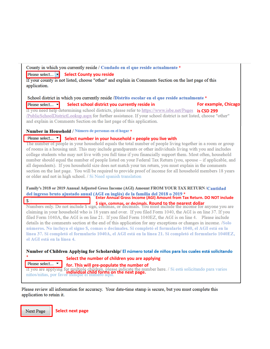County in which you currently reside / Condado en el que reside actualmente \*

Please select... **Select County you reside** 

If your county is not listed, choose "other" and explain in Comments Section on the last page of this application.

School district in which you currently reside /Distrito escolar en el que reside actualmente \*

Please select... **Select school district you currently reside in For example, Chicago** *For example, Chicago**For example, Chicago* If you need help determining school districts, please refer to https://www.isbe.net/Pages is CSD 299<br>/PublicSchoolDistrictLookup.aspx for further assistance. If your school district is not listed, choose "other" and explain in Comments Section on the last page of this application.

Number in Household / Número de personas en el hogar \*

Please select... v

**Please select...** T<br>The number of people in your household equals the total number of people living together in a room or group of rooms in a housing unit. This may include grandparents or other individuals living with you and includes college students who may not live with you full time if you financially support them. Most often, household number should equal the number of people listed on your Federal Tax Return (you, spouse - if applicable, and all dependents). If you household size does not match your tax return, you must explain in the comments section on the last page. You will be required to provide proof of income for all household members 18 years or older and not in high school. / Si Need spanish translation

## Family's 2018 or 2019 Annual Adjusted Gross Income (AGI) Amount FROM YOUR TAX RETURN /Cantidad **Example 1 and 1 and 1 and 1 and 1 and 1 and 1 and 1 and 1 and 1 and 1 and 1 and 1 and 1 and 1 and 1 and 1 and 1 and 1 and 1 and 1 and 1 and 1 and 1 and 1 and 1 and 1 and 1 and 1 and 1 and 1 and 1 and 1 and 1 and 1 and 1 a**

**8 ign, commas, or decimals. Round to the nearest dollar** Numbers only. Do not include \$ sign, commas, or decimals. You must include the income for anyone you are claiming in your household who is 18 years and over. If you filed Form 1040, the AGI is on line 37. If you filed Form 1040A, the AGI is on line 21. If you filed Form 1040EZ, the AGI is on line 4. Please include details in the comments section at the end of this application for any exceptions or changes in income. */Solo* números. No incluya el signo \$, comas o decimales. Si completó el formulario 1040, el AGI está en la línea 37. Si completó el formulario 1040A, el AGI está en la línea 21. Si completó el formulario 1040EZ, el AGI está en la línea 4.

Number of Children Applying for Scholarship/ El número total de niños para los cuales está solicitando

**Select the number of children you are applying** 

**for. This will pre-populate the number of** 

If you are applying for multiple children, please indicate the number here. / Si está solicitando para varios niños/niñas, por favor indique el numero aqui.

Please review all information for accuracy. Your date-time stamp is secure, but you must complete this application to retain it.

Next Page

Please select...

 $\mathbf{\hat{s}}$ 

**Select next page**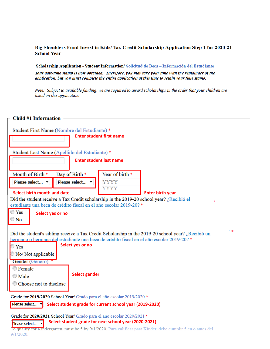### Big Shoulders Fund Invest in Kids/ Tax Credit Scholarship Application Step 1 for 2020-21 **School Year**

Scholarship Application - Student Information/ Solicitud de Beca - Información del Estudiante

Your date/time stamp is now obtained. Therefore, you may take your time with the remainder of the application, but you must complete the entire application at this time to retain your time stamp.

Note: Subject to available funding, we are required to award scholarships in the order that your children are listed on this application.

| <b>Child #1 Information</b>                                                                                                     |                                                                                                          |  |  |  |
|---------------------------------------------------------------------------------------------------------------------------------|----------------------------------------------------------------------------------------------------------|--|--|--|
|                                                                                                                                 |                                                                                                          |  |  |  |
| Student First Name (Nombre del Estudiante) *<br><b>Enter student first name</b>                                                 |                                                                                                          |  |  |  |
|                                                                                                                                 |                                                                                                          |  |  |  |
| Student Last Name (Apellido del Estudiante) *                                                                                   |                                                                                                          |  |  |  |
| <b>Enter student last name</b>                                                                                                  |                                                                                                          |  |  |  |
|                                                                                                                                 |                                                                                                          |  |  |  |
| Month of Birth *<br>Day of Birth *                                                                                              | Year of birth *                                                                                          |  |  |  |
| Please select ▼<br>Please select ▼                                                                                              | <b>YYYY</b>                                                                                              |  |  |  |
| <b>YYYY</b><br>Select birth month and date<br><b>Enter birth year</b>                                                           |                                                                                                          |  |  |  |
| Did the student receive a Tax Credit scholarship in the 2019-20 school year? ¿Recibió el                                        |                                                                                                          |  |  |  |
| estudiante una beca de crédito fiscal en el año escolar 2019-20? *<br>$\circ$ Yes                                               |                                                                                                          |  |  |  |
| Select yes or no<br>$\mathbb{O}$ No                                                                                             |                                                                                                          |  |  |  |
|                                                                                                                                 |                                                                                                          |  |  |  |
|                                                                                                                                 | 人家<br>Did the student's sibling receive a Tax Credit Scholarship in the 2019-20 school year? ¿Recibió un |  |  |  |
| hermano o hermana del estudiante una beca de crédito fiscal en el año escolar 2019-20? *<br>Select yes or no                    |                                                                                                          |  |  |  |
| $\circ$ Yes<br>No/ Not applicable                                                                                               |                                                                                                          |  |  |  |
| Gender (Género) *                                                                                                               |                                                                                                          |  |  |  |
| <b>©Female</b>                                                                                                                  |                                                                                                          |  |  |  |
| $\odot$ Male                                                                                                                    | <b>Select gender</b>                                                                                     |  |  |  |
| Choose not to disclose                                                                                                          |                                                                                                          |  |  |  |
| Grade for 2019/2020 School Year/ Grado para el año escolar 2019/2020 *                                                          |                                                                                                          |  |  |  |
| Please select<br>Select student grade for current school year (2019-2020)                                                       |                                                                                                          |  |  |  |
|                                                                                                                                 |                                                                                                          |  |  |  |
| Grade for 2020/2021 School Year/ Grado para el año escolar 2020/2021 *<br>Select student grade for next school year (2020-2021) |                                                                                                          |  |  |  |
| Please select<br>To quality for Kindergarten, must be 5 by 9/1/2020. Para calificar para Kinder, debe cumplir 5 en o antes del  |                                                                                                          |  |  |  |
| 9/1/2020.                                                                                                                       |                                                                                                          |  |  |  |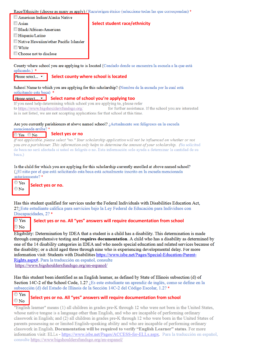Race/Ethnicity (choose as many as apply) / Raza/origen étnico (seleccione todas las que correspondan) \*

- American Indian/Alaska Native
- $\Box$  Asian
- Black/African-American
- Hispanic/Latino
- Native Hawaiian/other Pacific Islander
- $\blacksquare$  White
- Choose not to disclose

County where school you are applying to is located (Condado donde se encuentra la escuela a la que está aplicando.) \*

### Please select... ▼

**Select county where school is located**

School Name to which you are applying for this scholarship? (Nombre de la escuela por la cual está solicitando esta beca) \*

## **Please select... • Select name of school you're applying too** If you need help determining which school you are applying to, please refer

to https://www.bigshouldersfundsgo.org/ for further assistance. If the school you are interested in is not listed, we are not accepting applications for that school at this time.

## Are you currently parishioners at above named school? ¿Actualmente son feligreses en la escuela

mencionada arriba?\*

#### **Select yes or no** $\circ$  Yes  $\circ$  No

If not applicable, please select "no." Your scholarship application will not be influenced on whether or not you are a parishioner. This information only helps to determine the amount of your scholarship. (Su solicitud de beca no será afectada si usted es feligrés o no. Esta información solo ayuda a determinar la cantidad de su beca.)

### Is the child for which you are applying for this scholarship currently enrolled at above named school? (¿El niño por el que está solicitando esta beca está actualmente inscrito en la escuela mencionada anteriormente?\*

 $\circ$  Yes  $\odot$  No

**Select yes or no.** 

Has this student qualified for services under the Federal Individuals with Disabilities Education Act. 27; Este estudiante califica para servicios bajo la Lev Federal de Educación para Individuos con Discapacidades, 2?\*

### $\mathbb{P}$  Yes **Select yes or no. All "yes" answers will require documentation from school**   $\bigcirc$  No

Eligibility: Determination by IDEA that a student is a child has a disability. This determination is made through comprehensive testing and requires documentation. A child who has a disability as determined by one of the 14 disability categories in IDEA and who needs special education and related services because of the disability; or a child aged three through nine who is experiencing developmental delay. For more information visit: Students with Disabilities https://www.isbe.net/Pages/Special-Education-Parent-Rights.aspx#. Para la traducción en español, consulte https://www.bigshouldersfundsgo.org/en-espanol/

Has this student been identified as an English learner, as defined by State of Illinois subsection (d) of Section 14C-2 of the School Code, 1.2? ¿Es este estudiante un aprendiz de inglés, como se define en la subsección (d) del Estado de Illinois de la Sección 14C-2 del Código Escolar, 1.2?\*

#### $\circlearrowright$  Yes **Select yes or no. All "yes" answers will require documentation from school**   $\circledcirc$  No

"English learner" means (1) all children in grades pre-K through 12 who were not born in the United States, whose native tongue is a language other than English, and who are incapable of performing ordinary classwork in English; and (2) all children in grades pre-K through 12 who were born in the United States of parents possessing no or limited English-speaking ability and who are incapable of performing ordinary classwork in English. Documentation will be required to verify "English Learner" status. For more information visit: ELLs - https://www.isbe.net/Pages/ACCESS-for-ELLs.aspx. Para la traducción en español, consulte https://www.bigshouldersfundsgo.org/en-espanol/

### **Select student race/ethnicity**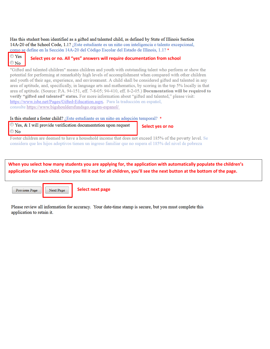Has this student been identified as a gifted and talented child, as defined by State of Illinois Section 14A-20 of the School Code, 1.1? *j*Este estudiante es un niño con inteligencia o talento excepcional, como se define en la Sección 14A-20 del Código Escolar del Estado de Illinois, 1.1?\*

### $\circ$  Yes **Select yes or no. All "yes" answers will require documentation from school**

"Gifted and talented children" means children and youth with outstanding talent who perform or show the potential for performing at remarkably high levels of accomplishment when compared with other children and youth of their age, experience, and environment. A child shall be considered gifted and talented in any area of aptitude, and, specifically, in language arts and mathematics, by scoring in the top 5% locally in that area of aptitude. (Source: P.A. 94-151, eff. 7-8-05; 94-410, eff. 8-2-05.) Documentation will be required to verify "gifted and talented" status. For more information about "gifted and talented," please visit: https://www.isbe.net/Pages/Gifted-Education.aspx. Para la traducción en español, consulte https://www.bigshouldersfundsgo.org/en-espanol/

Is this student a foster child? ¿Este estudiante es un niño en adopción temporal? \*

 $\circ$  Yes, & I will provide verification documentation upon request  $\odot$  No

Next Page

**Select yes or no**

Foster children are deemed to have a household income that does not exceed 185% of the poverty level. Se considera que los hijos adoptivos tienen un ingreso familiar que no supera el 185% del nivel de pobreza

**When you select how many students you are applying for, the application with automatically populate the children's application for each child. Once you fill it out for all children, you'll see the next button at the bottom of the page.** 

Previous Page

 $\odot$  No

**Select next page**

Please review all information for accuracy. Your date-time stamp is secure, but you must complete this application to retain it.